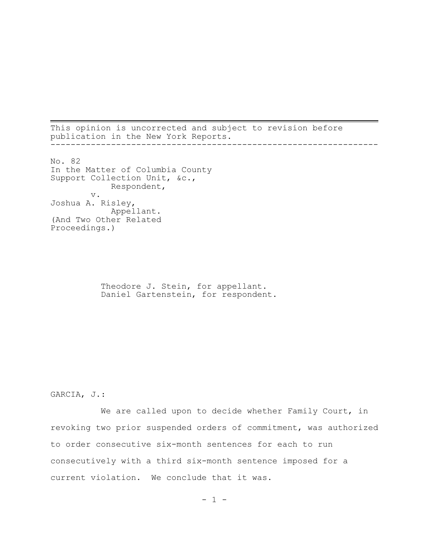This opinion is uncorrected and subject to revision before publication in the New York Reports. -----------------------------------------------------------------

No. 82 In the Matter of Columbia County Support Collection Unit, &c., Respondent, v. Joshua A. Risley, Appellant. (And Two Other Related Proceedings.)

> Theodore J. Stein, for appellant. Daniel Gartenstein, for respondent.

GARCIA, J.:

We are called upon to decide whether Family Court, in revoking two prior suspended orders of commitment, was authorized to order consecutive six-month sentences for each to run consecutively with a third six-month sentence imposed for a current violation. We conclude that it was.

 $- 1 -$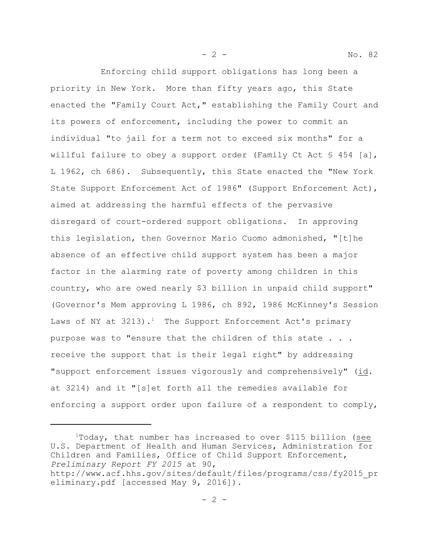Enforcing child support obligations has long been a priority in New York. More than fifty years ago, this State enacted the "Family Court Act," establishing the Family Court and its powers of enforcement, including the power to commit an individual "to jail for a term not to exceed six months" for a willful failure to obey a support order (Family Ct Act  $\S$  454 [a], L 1962, ch 686). Subsequently, this State enacted the "New York State Support Enforcement Act of 1986" (Support Enforcement Act), aimed at addressing the harmful effects of the pervasive disregard of court-ordered support obligations. In approving this legislation, then Governor Mario Cuomo admonished, "[t]he absence of an effective child support system has been a major factor in the alarming rate of poverty among children in this country, who are owed nearly \$3 billion in unpaid child support" (Governor's Mem approving L 1986, ch 892, 1986 McKinney's Session Laws of NY at  $3213$ ).<sup>1</sup> The Support Enforcement Act's primary purpose was to "ensure that the children of this state . . . receive the support that is their legal right" by addressing "support enforcement issues vigorously and comprehensively" (id. at 3214) and it "[s]et forth all the remedies available for enforcing a support order upon failure of a respondent to comply,

- 2 - No. 82

<sup>1</sup>Today, that number has increased to over \$115 billion (see U.S. Department of Health and Human Services, Administration for Children and Families, Office of Child Support Enforcement, *Preliminary Report FY 2015* at 90,

http://www.acf.hhs.gov/sites/default/files/programs/css/fy2015\_pr eliminary.pdf [accessed May 9, 2016]).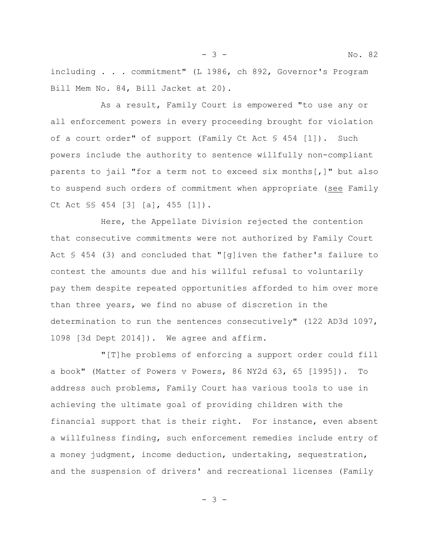including . . . commitment" (L 1986, ch 892, Governor's Program Bill Mem No. 84, Bill Jacket at 20).

As a result, Family Court is empowered "to use any or all enforcement powers in every proceeding brought for violation of a court order" of support (Family Ct Act § 454 [1]). Such powers include the authority to sentence willfully non-compliant parents to jail "for a term not to exceed six months[,]" but also to suspend such orders of commitment when appropriate (see Family Ct Act §§ 454 [3] [a], 455 [1]).

Here, the Appellate Division rejected the contention that consecutive commitments were not authorized by Family Court Act  $\frac{1}{2}$  454 (3) and concluded that "[q]iven the father's failure to contest the amounts due and his willful refusal to voluntarily pay them despite repeated opportunities afforded to him over more than three years, we find no abuse of discretion in the determination to run the sentences consecutively" (122 AD3d 1097, 1098 [3d Dept 2014]). We agree and affirm.

"[T]he problems of enforcing a support order could fill a book" (Matter of Powers v Powers, 86 NY2d 63, 65 [1995]). To address such problems, Family Court has various tools to use in achieving the ultimate goal of providing children with the financial support that is their right. For instance, even absent a willfulness finding, such enforcement remedies include entry of a money judgment, income deduction, undertaking, sequestration, and the suspension of drivers' and recreational licenses (Family

- 3 -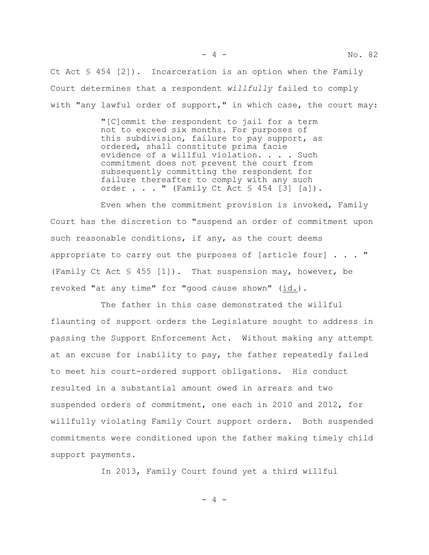Ct Act  $\S$  454 [2]). Incarceration is an option when the Family Court determines that a respondent *willfully* failed to comply with "any lawful order of support," in which case, the court may:

> "[C]ommit the respondent to jail for a term not to exceed six months. For purposes of this subdivision, failure to pay support, as ordered, shall constitute prima facie evidence of a willful violation.  $\ldots$  . Such commitment does not prevent the court from subsequently committing the respondent for failure thereafter to comply with any such order . . . " (Family Ct Act  $\S$  454 [3] [a]).

Even when the commitment provision is invoked, Family Court has the discretion to "suspend an order of commitment upon such reasonable conditions, if any, as the court deems appropriate to carry out the purposes of [article four] . . . " (Family Ct Act § 455 [1]). That suspension may, however, be revoked "at any time" for "good cause shown" (id.).

The father in this case demonstrated the willful flaunting of support orders the Legislature sought to address in passing the Support Enforcement Act. Without making any attempt at an excuse for inability to pay, the father repeatedly failed to meet his court-ordered support obligations. His conduct resulted in a substantial amount owed in arrears and two suspended orders of commitment, one each in 2010 and 2012, for willfully violating Family Court support orders. Both suspended commitments were conditioned upon the father making timely child support payments.

In 2013, Family Court found yet a third willful

 $-4 -$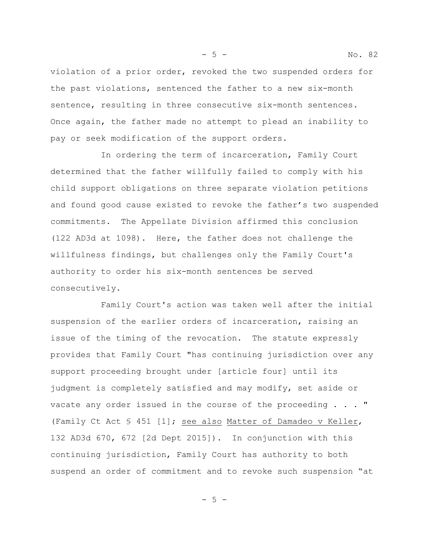violation of a prior order, revoked the two suspended orders for the past violations, sentenced the father to a new six-month sentence, resulting in three consecutive six-month sentences. Once again, the father made no attempt to plead an inability to pay or seek modification of the support orders.

In ordering the term of incarceration, Family Court determined that the father willfully failed to comply with his child support obligations on three separate violation petitions and found good cause existed to revoke the father's two suspended commitments. The Appellate Division affirmed this conclusion (122 AD3d at 1098). Here, the father does not challenge the willfulness findings, but challenges only the Family Court's authority to order his six-month sentences be served consecutively.

Family Court's action was taken well after the initial suspension of the earlier orders of incarceration, raising an issue of the timing of the revocation. The statute expressly provides that Family Court "has continuing jurisdiction over any support proceeding brought under [article four] until its judgment is completely satisfied and may modify, set aside or vacate any order issued in the course of the proceeding . . . " (Family Ct Act § 451 [1]; see also Matter of Damadeo v Keller, 132 AD3d 670, 672 [2d Dept 2015]). In conjunction with this continuing jurisdiction, Family Court has authority to both suspend an order of commitment and to revoke such suspension "at

 $-5 -$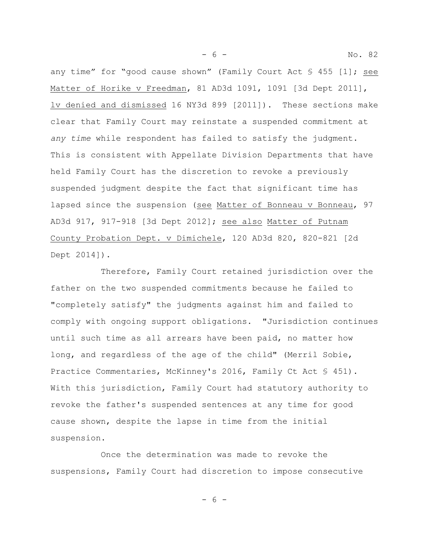any time" for "good cause shown" (Family Court Act § 455 [1]; see Matter of Horike v Freedman, 81 AD3d 1091, 1091 [3d Dept 2011], lv denied and dismissed 16 NY3d 899 [2011]). These sections make clear that Family Court may reinstate a suspended commitment at *any time* while respondent has failed to satisfy the judgment. This is consistent with Appellate Division Departments that have held Family Court has the discretion to revoke a previously suspended judgment despite the fact that significant time has lapsed since the suspension (see Matter of Bonneau v Bonneau, 97 AD3d 917, 917-918 [3d Dept 2012]; see also Matter of Putnam County Probation Dept. v Dimichele, 120 AD3d 820, 820-821 [2d Dept 2014]).

Therefore, Family Court retained jurisdiction over the father on the two suspended commitments because he failed to "completely satisfy" the judgments against him and failed to comply with ongoing support obligations. "Jurisdiction continues until such time as all arrears have been paid, no matter how long, and regardless of the age of the child" (Merril Sobie, Practice Commentaries, McKinney's 2016, Family Ct Act § 451). With this jurisdiction, Family Court had statutory authority to revoke the father's suspended sentences at any time for good cause shown, despite the lapse in time from the initial suspension.

Once the determination was made to revoke the suspensions, Family Court had discretion to impose consecutive

- 6 -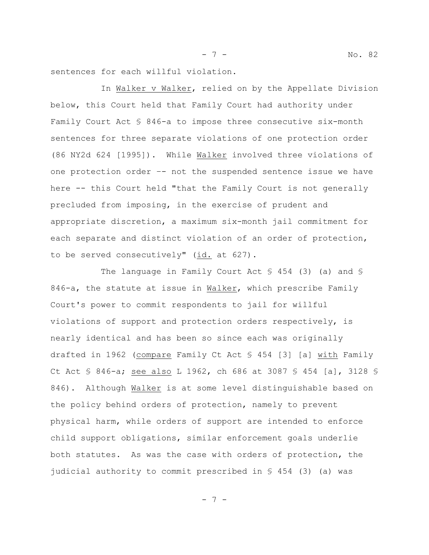- 7 - No. 82

sentences for each willful violation.

In Walker v Walker, relied on by the Appellate Division below, this Court held that Family Court had authority under Family Court Act § 846-a to impose three consecutive six-month sentences for three separate violations of one protection order (86 NY2d 624 [1995]). While Walker involved three violations of one protection order –- not the suspended sentence issue we have here -- this Court held "that the Family Court is not generally precluded from imposing, in the exercise of prudent and appropriate discretion, a maximum six-month jail commitment for each separate and distinct violation of an order of protection, to be served consecutively" (id. at 627).

The language in Family Court Act § 454 (3) (a) and § 846-a, the statute at issue in Walker, which prescribe Family Court's power to commit respondents to jail for willful violations of support and protection orders respectively, is nearly identical and has been so since each was originally drafted in 1962 (compare Family Ct Act § 454 [3] [a] with Family Ct Act § 846-a; see also L 1962, ch 686 at 3087 § 454 [a], 3128 § 846). Although Walker is at some level distinguishable based on the policy behind orders of protection, namely to prevent physical harm, while orders of support are intended to enforce child support obligations, similar enforcement goals underlie both statutes. As was the case with orders of protection, the judicial authority to commit prescribed in § 454 (3) (a) was

- 7 -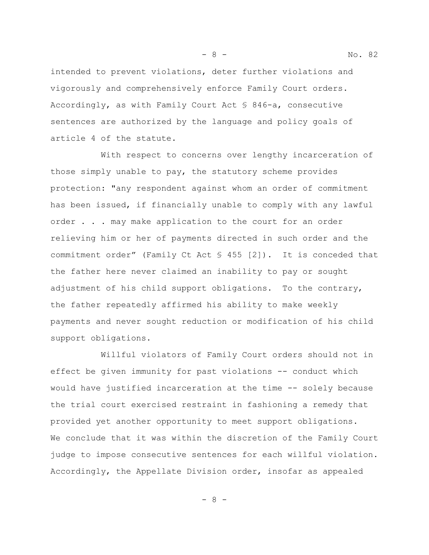intended to prevent violations, deter further violations and vigorously and comprehensively enforce Family Court orders. Accordingly, as with Family Court Act § 846-a, consecutive sentences are authorized by the language and policy goals of article 4 of the statute.

With respect to concerns over lengthy incarceration of those simply unable to pay, the statutory scheme provides protection: "any respondent against whom an order of commitment has been issued, if financially unable to comply with any lawful order . . . may make application to the court for an order relieving him or her of payments directed in such order and the commitment order" (Family Ct Act § 455 [2]). It is conceded that the father here never claimed an inability to pay or sought adjustment of his child support obligations. To the contrary, the father repeatedly affirmed his ability to make weekly payments and never sought reduction or modification of his child support obligations.

Willful violators of Family Court orders should not in effect be given immunity for past violations -- conduct which would have justified incarceration at the time -- solely because the trial court exercised restraint in fashioning a remedy that provided yet another opportunity to meet support obligations. We conclude that it was within the discretion of the Family Court judge to impose consecutive sentences for each willful violation. Accordingly, the Appellate Division order, insofar as appealed

- 8 -